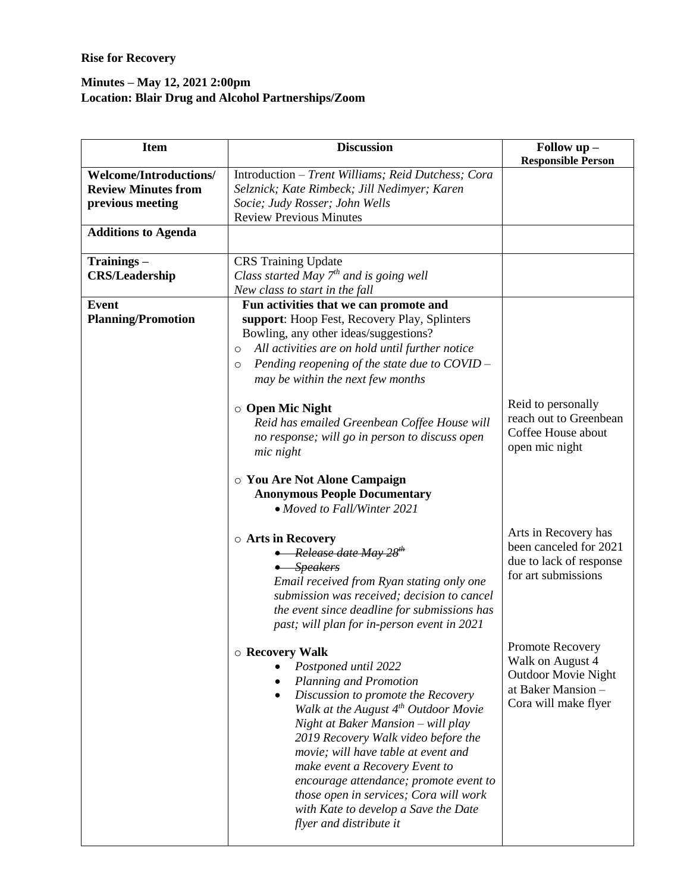## **Rise for Recovery**

## **Minutes – May 12, 2021 2:00pm Location: Blair Drug and Alcohol Partnerships/Zoom**

| <b>Item</b>                                                                     | <b>Discussion</b>                                                                                                                                                                                                                                                                                                                                                                                                                                                                                                                   | Follow $up -$<br><b>Responsible Person</b>                                                                       |
|---------------------------------------------------------------------------------|-------------------------------------------------------------------------------------------------------------------------------------------------------------------------------------------------------------------------------------------------------------------------------------------------------------------------------------------------------------------------------------------------------------------------------------------------------------------------------------------------------------------------------------|------------------------------------------------------------------------------------------------------------------|
| <b>Welcome/Introductions/</b><br><b>Review Minutes from</b><br>previous meeting | Introduction - Trent Williams; Reid Dutchess; Cora<br>Selznick; Kate Rimbeck; Jill Nedimyer; Karen<br>Socie; Judy Rosser; John Wells<br><b>Review Previous Minutes</b>                                                                                                                                                                                                                                                                                                                                                              |                                                                                                                  |
| <b>Additions to Agenda</b>                                                      |                                                                                                                                                                                                                                                                                                                                                                                                                                                                                                                                     |                                                                                                                  |
| Trainings-<br><b>CRS/Leadership</b>                                             | <b>CRS</b> Training Update<br>Class started May $7^{th}$ and is going well<br>New class to start in the fall                                                                                                                                                                                                                                                                                                                                                                                                                        |                                                                                                                  |
| <b>Event</b><br><b>Planning/Promotion</b>                                       | Fun activities that we can promote and<br>support: Hoop Fest, Recovery Play, Splinters<br>Bowling, any other ideas/suggestions?<br>All activities are on hold until further notice<br>O<br>Pending reopening of the state due to $COVID -$<br>$\circ$<br>may be within the next few months<br>○ Open Mic Night<br>Reid has emailed Greenbean Coffee House will<br>no response; will go in person to discuss open<br>mic night<br>○ You Are Not Alone Campaign<br><b>Anonymous People Documentary</b><br>• Moved to Fall/Winter 2021 | Reid to personally<br>reach out to Greenbean<br>Coffee House about<br>open mic night                             |
|                                                                                 | ○ Arts in Recovery<br>• Release date May $28^{th}$<br>• Speakers<br>Email received from Ryan stating only one<br>submission was received; decision to cancel<br>the event since deadline for submissions has<br>past; will plan for in-person event in 2021                                                                                                                                                                                                                                                                         | Arts in Recovery has<br>been canceled for 2021<br>due to lack of response<br>for art submissions                 |
|                                                                                 | ○ Recovery Walk<br>Postponed until 2022<br>Planning and Promotion<br>Discussion to promote the Recovery<br>Walk at the August $4^{th}$ Outdoor Movie<br>Night at Baker Mansion - will play<br>2019 Recovery Walk video before the<br>movie; will have table at event and<br>make event a Recovery Event to<br>encourage attendance; promote event to<br>those open in services; Cora will work<br>with Kate to develop a Save the Date<br>flyer and distribute it                                                                   | Promote Recovery<br>Walk on August 4<br><b>Outdoor Movie Night</b><br>at Baker Mansion -<br>Cora will make flyer |